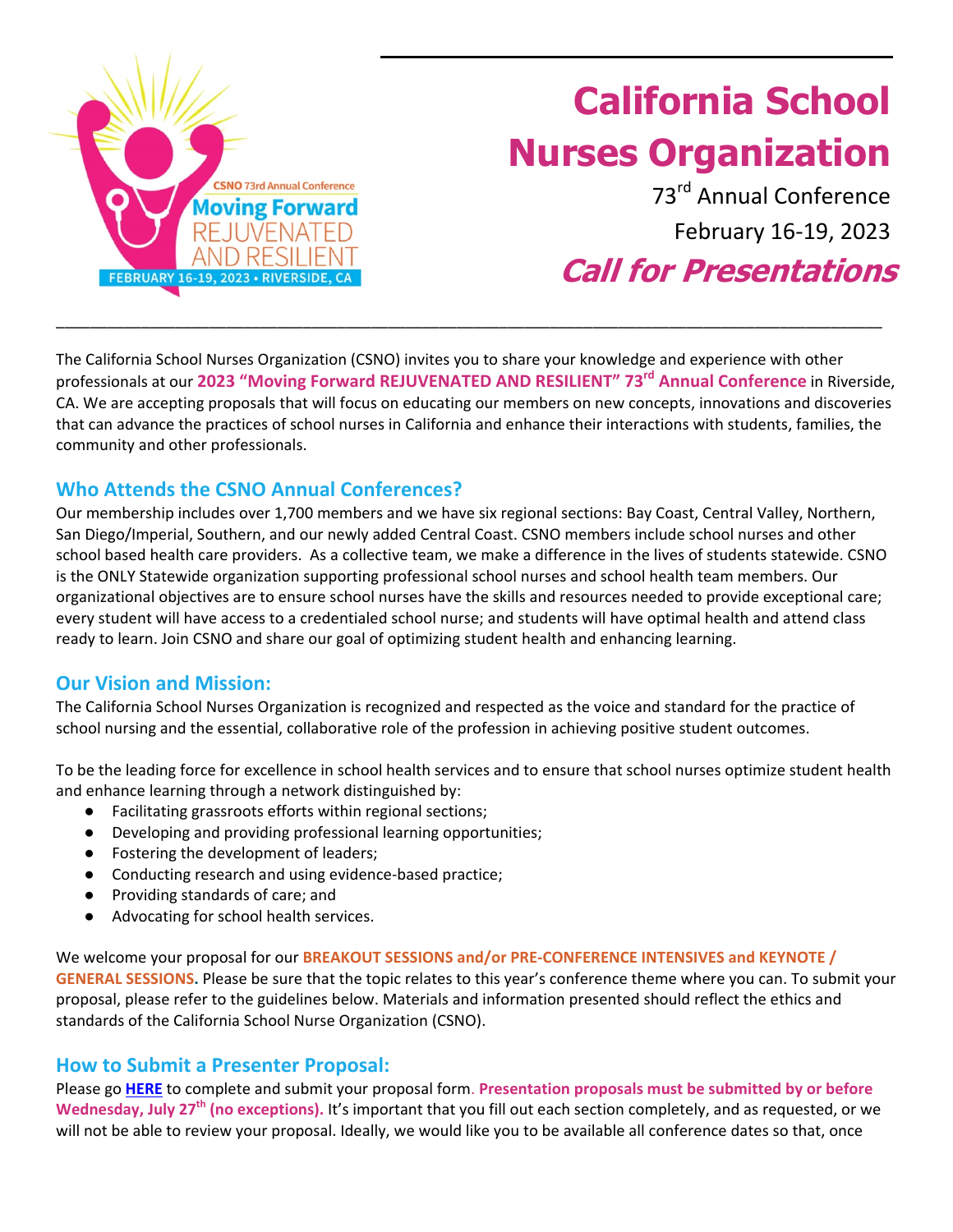

# **California School Nurses Organization**

73rd Annual Conference February 16‐19, 2023

**Call for Presentations**

The California School Nurses Organization (CSNO) invites you to share your knowledge and experience with other professionals at our **2023 "Moving Forward REJUVENATED AND RESILIENT" 73rd Annual Conference** in Riverside, CA. We are accepting proposals that will focus on educating our members on new concepts, innovations and discoveries that can advance the practices of school nurses in California and enhance their interactions with students, families, the community and other professionals.

\_\_\_\_\_\_\_\_\_\_\_\_\_\_\_\_\_\_\_\_\_\_\_\_\_\_\_\_\_\_\_\_\_\_\_\_\_\_\_\_\_\_\_\_\_\_\_\_\_\_\_\_\_\_\_\_\_\_\_\_\_\_\_\_\_\_\_\_\_\_\_\_\_\_\_\_\_\_\_\_\_\_\_\_\_\_\_\_\_\_\_\_\_\_\_\_\_

## **Who Attends the CSNO Annual Conferences?**

Our membership includes over 1,700 members and we have six regional sections: Bay Coast, Central Valley, Northern, San Diego/Imperial, Southern, and our newly added Central Coast. CSNO members include school nurses and other school based health care providers. As a collective team, we make a difference in the lives of students statewide. CSNO is the ONLY Statewide organization supporting professional school nurses and school health team members. Our organizational objectives are to ensure school nurses have the skills and resources needed to provide exceptional care; every student will have access to a credentialed school nurse; and students will have optimal health and attend class ready to learn. Join CSNO and share our goal of optimizing student health and enhancing learning.

## **Our Vision and Mission:**

The California School Nurses Organization is recognized and respected as the voice and standard for the practice of school nursing and the essential, collaborative role of the profession in achieving positive student outcomes.

To be the leading force for excellence in school health services and to ensure that school nurses optimize student health and enhance learning through a network distinguished by:

- Facilitating grassroots efforts within regional sections;
- Developing and providing professional learning opportunities;
- Fostering the development of leaders;
- Conducting research and using evidence-based practice;
- Providing standards of care; and
- Advocating for school health services.

We welcome your proposal for our **BREAKOUT SESSIONS and/or PRE‐CONFERENCE INTENSIVES and KEYNOTE / GENERAL SESSIONS.** Please be sure that the topic relates to this year's conference theme where you can. To submit your proposal, please refer to the guidelines below. Materials and information presented should reflect the ethics and standards of the California School Nurse Organization (CSNO).

### **How to Submit a Presenter Proposal:**

Please go **[HERE](https://www.cognitoforms.com/MeetingWise1/CSNO2023ConferenceCallForPresentations)** to complete and submit your proposal form. **Presentation proposals must be submitted by or before Wednesday, July 27th (no exceptions).** It's important that you fill out each section completely, and as requested, or we will not be able to review your proposal. Ideally, we would like you to be available all conference dates so that, once